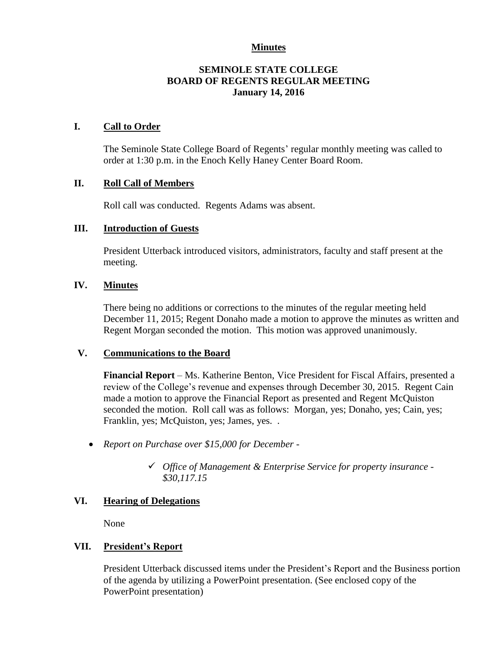## **Minutes**

## **SEMINOLE STATE COLLEGE BOARD OF REGENTS REGULAR MEETING January 14, 2016**

## **I. Call to Order**

The Seminole State College Board of Regents' regular monthly meeting was called to order at 1:30 p.m. in the Enoch Kelly Haney Center Board Room.

## **II. Roll Call of Members**

Roll call was conducted. Regents Adams was absent.

## **III. Introduction of Guests**

President Utterback introduced visitors, administrators, faculty and staff present at the meeting.

## **IV. Minutes**

There being no additions or corrections to the minutes of the regular meeting held December 11, 2015; Regent Donaho made a motion to approve the minutes as written and Regent Morgan seconded the motion. This motion was approved unanimously.

#### **V. Communications to the Board**

**Financial Report** – Ms. Katherine Benton, Vice President for Fiscal Affairs, presented a review of the College's revenue and expenses through December 30, 2015. Regent Cain made a motion to approve the Financial Report as presented and Regent McQuiston seconded the motion. Roll call was as follows: Morgan, yes; Donaho, yes; Cain, yes; Franklin, yes; McQuiston, yes; James, yes. .

- *Report on Purchase over \$15,000 for December -*
	- *Office of Management & Enterprise Service for property insurance - \$30,117.15*

# **VI. Hearing of Delegations**

None

# **VII. President's Report**

President Utterback discussed items under the President's Report and the Business portion of the agenda by utilizing a PowerPoint presentation. (See enclosed copy of the PowerPoint presentation)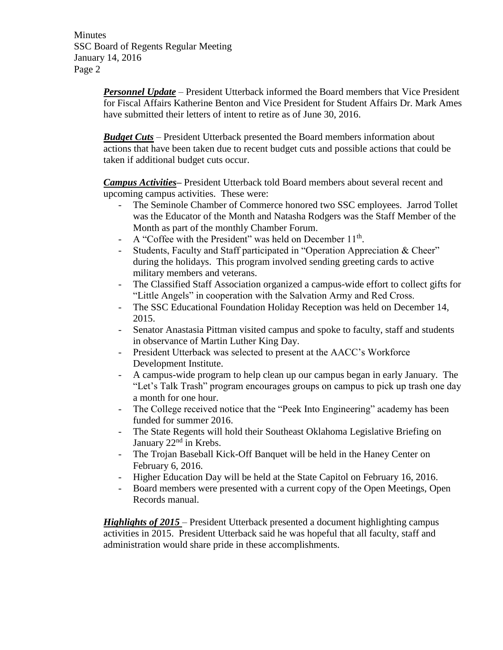**Minutes** SSC Board of Regents Regular Meeting January 14, 2016 Page 2

> *Personnel Update* – President Utterback informed the Board members that Vice President for Fiscal Affairs Katherine Benton and Vice President for Student Affairs Dr. Mark Ames have submitted their letters of intent to retire as of June 30, 2016.

*Budget Cuts* – President Utterback presented the Board members information about actions that have been taken due to recent budget cuts and possible actions that could be taken if additional budget cuts occur.

*Campus Activities***–** President Utterback told Board members about several recent and upcoming campus activities. These were:

- The Seminole Chamber of Commerce honored two SSC employees. Jarrod Tollet was the Educator of the Month and Natasha Rodgers was the Staff Member of the Month as part of the monthly Chamber Forum.
- A "Coffee with the President" was held on December 11<sup>th</sup>.
- Students, Faculty and Staff participated in "Operation Appreciation & Cheer" during the holidays. This program involved sending greeting cards to active military members and veterans.
- The Classified Staff Association organized a campus-wide effort to collect gifts for "Little Angels" in cooperation with the Salvation Army and Red Cross.
- The SSC Educational Foundation Holiday Reception was held on December 14, 2015.
- Senator Anastasia Pittman visited campus and spoke to faculty, staff and students in observance of Martin Luther King Day.
- President Utterback was selected to present at the AACC's Workforce Development Institute.
- A campus-wide program to help clean up our campus began in early January. The "Let's Talk Trash" program encourages groups on campus to pick up trash one day a month for one hour.
- The College received notice that the "Peek Into Engineering" academy has been funded for summer 2016.
- The State Regents will hold their Southeast Oklahoma Legislative Briefing on January 22<sup>nd</sup> in Krebs.
- The Trojan Baseball Kick-Off Banquet will be held in the Haney Center on February 6, 2016.
- Higher Education Day will be held at the State Capitol on February 16, 2016.
- Board members were presented with a current copy of the Open Meetings, Open Records manual.

*Highlights of 2015* – President Utterback presented a document highlighting campus activities in 2015. President Utterback said he was hopeful that all faculty, staff and administration would share pride in these accomplishments.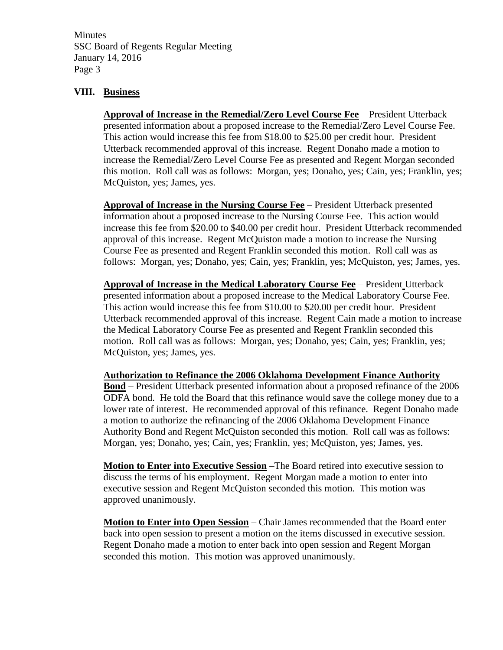**Minutes** SSC Board of Regents Regular Meeting January 14, 2016 Page 3

## **VIII. Business**

**Approval of Increase in the Remedial/Zero Level Course Fee** – President Utterback presented information about a proposed increase to the Remedial/Zero Level Course Fee. This action would increase this fee from \$18.00 to \$25.00 per credit hour. President Utterback recommended approval of this increase. Regent Donaho made a motion to increase the Remedial/Zero Level Course Fee as presented and Regent Morgan seconded this motion. Roll call was as follows: Morgan, yes; Donaho, yes; Cain, yes; Franklin, yes; McQuiston, yes; James, yes.

**Approval of Increase in the Nursing Course Fee** – President Utterback presented information about a proposed increase to the Nursing Course Fee. This action would increase this fee from \$20.00 to \$40.00 per credit hour. President Utterback recommended approval of this increase. Regent McQuiston made a motion to increase the Nursing Course Fee as presented and Regent Franklin seconded this motion. Roll call was as follows: Morgan, yes; Donaho, yes; Cain, yes; Franklin, yes; McQuiston, yes; James, yes.

**Approval of Increase in the Medical Laboratory Course Fee** – President Utterback presented information about a proposed increase to the Medical Laboratory Course Fee. This action would increase this fee from \$10.00 to \$20.00 per credit hour. President Utterback recommended approval of this increase. Regent Cain made a motion to increase the Medical Laboratory Course Fee as presented and Regent Franklin seconded this motion. Roll call was as follows: Morgan, yes; Donaho, yes; Cain, yes; Franklin, yes; McQuiston, yes; James, yes.

**Authorization to Refinance the 2006 Oklahoma Development Finance Authority** 

**Bond** – President Utterback presented information about a proposed refinance of the 2006 ODFA bond. He told the Board that this refinance would save the college money due to a lower rate of interest. He recommended approval of this refinance. Regent Donaho made a motion to authorize the refinancing of the 2006 Oklahoma Development Finance Authority Bond and Regent McQuiston seconded this motion. Roll call was as follows: Morgan, yes; Donaho, yes; Cain, yes; Franklin, yes; McQuiston, yes; James, yes.

**Motion to Enter into Executive Session** –The Board retired into executive session to discuss the terms of his employment. Regent Morgan made a motion to enter into executive session and Regent McQuiston seconded this motion. This motion was approved unanimously.

**Motion to Enter into Open Session** – Chair James recommended that the Board enter back into open session to present a motion on the items discussed in executive session. Regent Donaho made a motion to enter back into open session and Regent Morgan seconded this motion. This motion was approved unanimously.